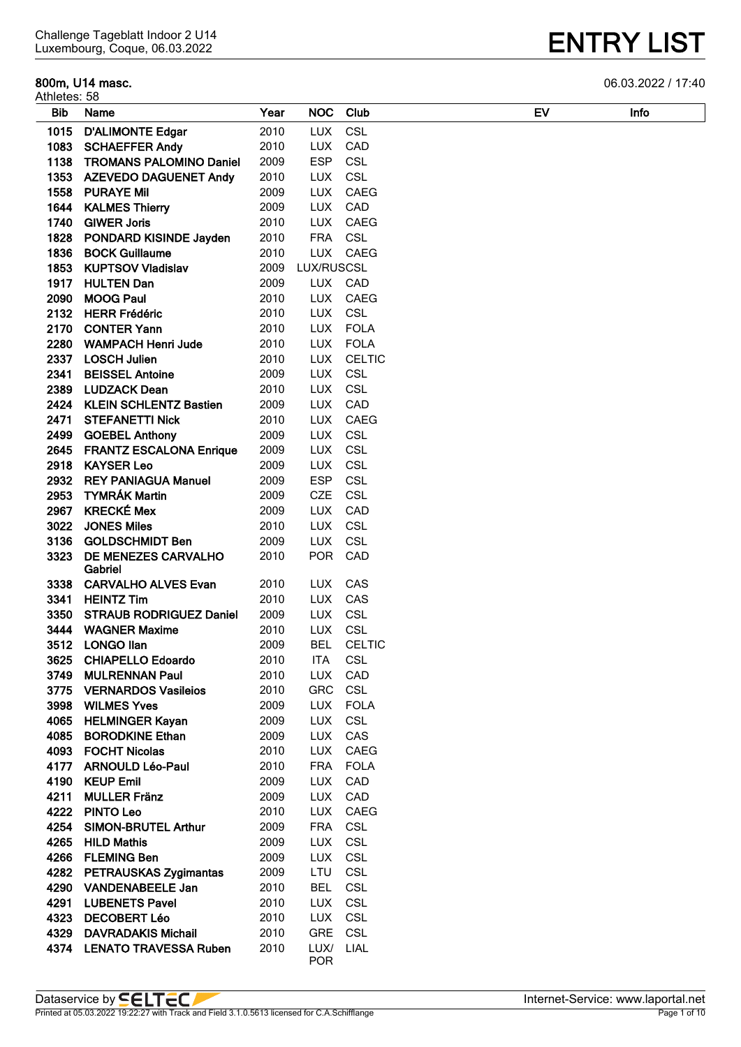#### **800m, U14 masc.** 06.03.2022 / 17:40

| Athletes: 58 |                                |      |            |               |    |             |
|--------------|--------------------------------|------|------------|---------------|----|-------------|
| <b>Bib</b>   | Name                           | Year | <b>NOC</b> | Club          | EV | <b>Infc</b> |
| 1015         | <b>D'ALIMONTE Edgar</b>        | 2010 | <b>LUX</b> | <b>CSL</b>    |    |             |
| 1083         | <b>SCHAEFFER Andy</b>          | 2010 | <b>LUX</b> | CAD           |    |             |
| 1138         | <b>TROMANS PALOMINO Daniel</b> | 2009 | <b>ESP</b> | <b>CSL</b>    |    |             |
| 1353         | <b>AZEVEDO DAGUENET Andy</b>   | 2010 | <b>LUX</b> | <b>CSL</b>    |    |             |
| 1558         | <b>PURAYE Mil</b>              | 2009 | <b>LUX</b> | CAEG          |    |             |
| 1644         | <b>KALMES Thierry</b>          | 2009 | <b>LUX</b> | CAD           |    |             |
| 1740         | <b>GIWER Joris</b>             | 2010 | <b>LUX</b> | CAEG          |    |             |
| 1828         | PONDARD KISINDE Jayden         | 2010 | <b>FRA</b> | CSL           |    |             |
| 1836         | <b>BOCK Guillaume</b>          | 2010 | <b>LUX</b> | CAEG          |    |             |
| 1853         | <b>KUPTSOV Vladislav</b>       | 2009 | LUX/RUSCSL |               |    |             |
| 1917         | <b>HULTEN Dan</b>              | 2009 |            | LUX CAD       |    |             |
| 2090         | <b>MOOG Paul</b>               | 2010 | <b>LUX</b> | CAEG          |    |             |
| 2132         | <b>HERR Frédéric</b>           | 2010 | <b>LUX</b> | CSL           |    |             |
| 2170         | <b>CONTER Yann</b>             | 2010 | <b>LUX</b> | <b>FOLA</b>   |    |             |
| 2280         | <b>WAMPACH Henri Jude</b>      | 2010 | <b>LUX</b> | <b>FOLA</b>   |    |             |
| 2337         | <b>LOSCH Julien</b>            | 2010 | <b>LUX</b> | <b>CELTIC</b> |    |             |
| 2341         | <b>BEISSEL Antoine</b>         | 2009 | <b>LUX</b> | CSL           |    |             |
|              | 2389 LUDZACK Dean              | 2010 | <b>LUX</b> | CSL           |    |             |
|              | 2424 KLEIN SCHLENTZ Bastien    | 2009 | <b>LUX</b> | CAD           |    |             |
|              | 2471 STEFANETTI Nick           | 2010 | <b>LUX</b> | CAEG          |    |             |
|              | 2499 GOEBEL Anthony            | 2009 | <b>LUX</b> | CSL           |    |             |
|              | 2645 FRANTZ ESCALONA Enrique   | 2009 | <b>LUX</b> | CSL           |    |             |
|              | 2918 KAYSER Leo                | 2009 | <b>LUX</b> | CSL           |    |             |
| 2932         | <b>REY PANIAGUA Manuel</b>     | 2009 | <b>ESP</b> | CSL           |    |             |
|              | 2953 TYMRÁK Martin             | 2009 | <b>CZE</b> | CSL           |    |             |
| 2967         | <b>KRECKÉ Mex</b>              | 2009 | <b>LUX</b> | CAD           |    |             |
| 3022         | <b>JONES Miles</b>             | 2010 | <b>LUX</b> | CSL           |    |             |
| 3136         | <b>GOLDSCHMIDT Ben</b>         | 2009 | <b>LUX</b> | CSL           |    |             |
| 3323         | DE MENEZES CARVALHO            | 2010 | <b>POR</b> | CAD           |    |             |
|              | Gabriel                        |      |            |               |    |             |
| 3338         | <b>CARVALHO ALVES Evan</b>     | 2010 | <b>LUX</b> | CAS           |    |             |
| 3341         | <b>HEINTZ Tim</b>              | 2010 | <b>LUX</b> | CAS           |    |             |
| 3350         | <b>STRAUB RODRIGUEZ Daniel</b> | 2009 | <b>LUX</b> | CSL           |    |             |
| 3444         | <b>WAGNER Maxime</b>           | 2010 | <b>LUX</b> | CSL           |    |             |
| 3512         | <b>LONGO llan</b>              | 2009 | <b>BEL</b> | <b>CELTIC</b> |    |             |
| 3625         | <b>CHIAPELLO Edoardo</b>       | 2010 | <b>ITA</b> | <b>CSL</b>    |    |             |
| 3749         | <b>MULRENNAN Paul</b>          | 2010 | <b>LUX</b> | CAD           |    |             |
|              | 3775 VERNARDOS Vasileios       | 2010 | GRC        | <b>CSL</b>    |    |             |
| 3998         | <b>WILMES Yves</b>             | 2009 | <b>LUX</b> | <b>FOLA</b>   |    |             |
| 4065         | <b>HELMINGER Kayan</b>         | 2009 | <b>LUX</b> | <b>CSL</b>    |    |             |
|              | 4085 BORODKINE Ethan           | 2009 | <b>LUX</b> | CAS           |    |             |
|              | 4093 FOCHT Nicolas             | 2010 | <b>LUX</b> | CAEG          |    |             |
| 4177         | <b>ARNOULD Léo-Paul</b>        | 2010 | <b>FRA</b> | <b>FOLA</b>   |    |             |
| 4190         | <b>KEUP Emil</b>               | 2009 | LUX        | CAD           |    |             |
| 4211         | <b>MULLER Fränz</b>            | 2009 | <b>LUX</b> | CAD           |    |             |
| 4222         | <b>PINTO Leo</b>               | 2010 | <b>LUX</b> | CAEG          |    |             |
| 4254         | <b>SIMON-BRUTEL Arthur</b>     | 2009 | <b>FRA</b> | <b>CSL</b>    |    |             |
| 4265         | <b>HILD Mathis</b>             | 2009 | LUX        | CSL           |    |             |
|              | 4266 FLEMING Ben               | 2009 | <b>LUX</b> | CSL           |    |             |
|              | 4282 PETRAUSKAS Zygimantas     | 2009 | LTU        | <b>CSL</b>    |    |             |
|              | 4290 VANDENABEELE Jan          | 2010 | <b>BEL</b> | <b>CSL</b>    |    |             |
| 4291         | <b>LUBENETS Pavel</b>          | 2010 | <b>LUX</b> | CSL           |    |             |
|              | 4323 DECOBERT Léo              | 2010 |            | LUX CSL       |    |             |
|              | 4329 DAVRADAKIS Michail        | 2010 | <b>GRE</b> | CSL           |    |             |
|              | 4374 LENATO TRAVESSA Ruben     | 2010 | LUX/       | LIAL          |    |             |
|              |                                |      | <b>POR</b> |               |    |             |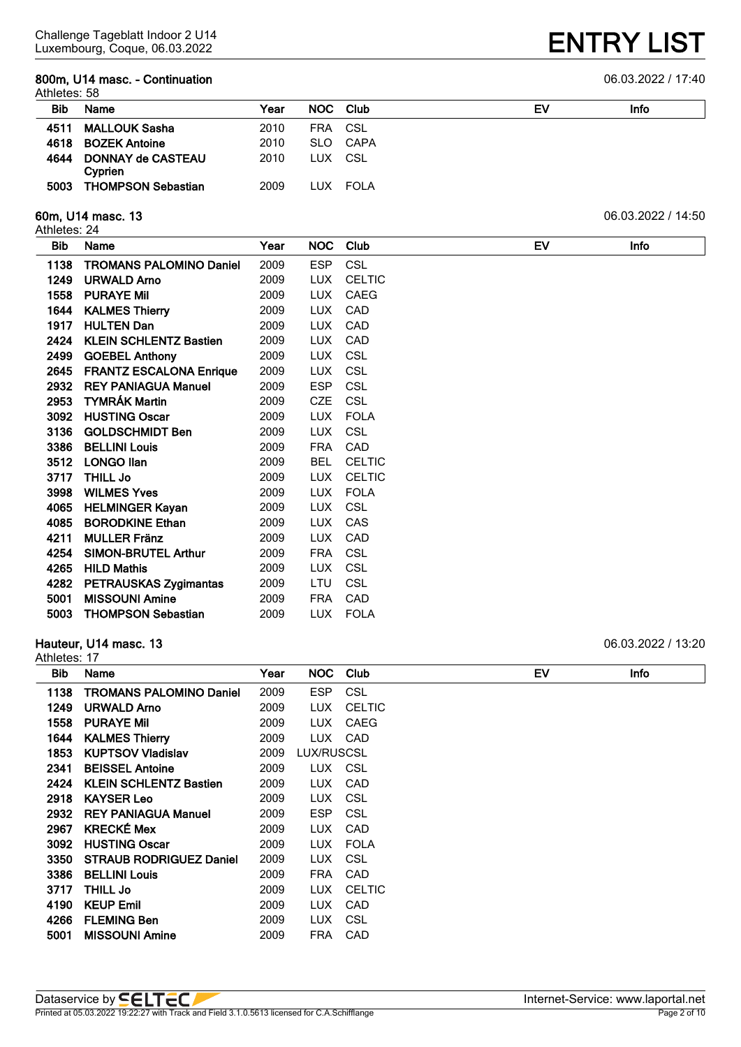#### **800m, U14 masc. - Continuation** 06.03.2022 / 17:40 Athletes: 58

|            | AUIICLES. JU                               |      |            |          |    |      |  |  |
|------------|--------------------------------------------|------|------------|----------|----|------|--|--|
| <b>Bib</b> | Name                                       | Year |            | NOC Club | EV | Info |  |  |
| 4511       | <b>MALLOUK Sasha</b>                       | 2010 | <b>FRA</b> | - CSL    |    |      |  |  |
| 4618       | <b>BOZEK Antoine</b>                       | 2010 |            | SLO CAPA |    |      |  |  |
| 4644       | <b>DONNAY de CASTEAU</b><br><b>Cyprien</b> | 2010 |            | LUX CSL  |    |      |  |  |
| 5003       | <b>THOMPSON Sebastian</b>                  | 2009 |            | LUX FOLA |    |      |  |  |

Athletes: 24

| Bib  | <b>Name</b>                    | Year | <b>NOC</b> | Club          | EV | Info |
|------|--------------------------------|------|------------|---------------|----|------|
| 1138 | <b>TROMANS PALOMINO Daniel</b> | 2009 | <b>ESP</b> | <b>CSL</b>    |    |      |
| 1249 | <b>URWALD Arno</b>             | 2009 | <b>LUX</b> | <b>CELTIC</b> |    |      |
| 1558 | <b>PURAYE Mil</b>              | 2009 | LUX.       | <b>CAEG</b>   |    |      |
| 1644 | <b>KALMES Thierry</b>          | 2009 | <b>LUX</b> | CAD           |    |      |
| 1917 | <b>HULTEN Dan</b>              | 2009 | LUX.       | CAD           |    |      |
| 2424 | <b>KLEIN SCHLENTZ Bastien</b>  | 2009 | <b>LUX</b> | CAD           |    |      |
| 2499 | <b>GOEBEL Anthony</b>          | 2009 | LUX.       | <b>CSL</b>    |    |      |
| 2645 | <b>FRANTZ ESCALONA Enrique</b> | 2009 | <b>LUX</b> | <b>CSL</b>    |    |      |
| 2932 | <b>REY PANIAGUA Manuel</b>     | 2009 | <b>ESP</b> | CSL           |    |      |
| 2953 | <b>TYMRÁK Martin</b>           | 2009 | <b>CZE</b> | <b>CSL</b>    |    |      |
| 3092 | <b>HUSTING Oscar</b>           | 2009 | <b>LUX</b> | <b>FOLA</b>   |    |      |
| 3136 | <b>GOLDSCHMIDT Ben</b>         | 2009 | <b>LUX</b> | CSL           |    |      |
| 3386 | <b>BELLINI Louis</b>           | 2009 | <b>FRA</b> | CAD           |    |      |
| 3512 | <b>LONGO Ilan</b>              | 2009 | <b>BEL</b> | <b>CELTIC</b> |    |      |
| 3717 | <b>THILL Jo</b>                | 2009 | <b>LUX</b> | <b>CELTIC</b> |    |      |
| 3998 | <b>WILMES Yves</b>             | 2009 | <b>LUX</b> | <b>FOLA</b>   |    |      |
| 4065 | <b>HELMINGER Kayan</b>         | 2009 | <b>LUX</b> | <b>CSL</b>    |    |      |
| 4085 | <b>BORODKINE Ethan</b>         | 2009 | <b>LUX</b> | CAS           |    |      |
| 4211 | <b>MULLER Fränz</b>            | 2009 | <b>LUX</b> | CAD           |    |      |
| 4254 | <b>SIMON-BRUTEL Arthur</b>     | 2009 | <b>FRA</b> | CSL           |    |      |
| 4265 | <b>HILD Mathis</b>             | 2009 | <b>LUX</b> | <b>CSL</b>    |    |      |
| 4282 | <b>PETRAUSKAS Zygimantas</b>   | 2009 | LTU        | CSL           |    |      |
| 5001 | <b>MISSOUNI Amine</b>          | 2009 | <b>FRA</b> | CAD           |    |      |
| 5003 | <b>THOMPSON Sebastian</b>      | 2009 | LUX.       | <b>FOLA</b>   |    |      |

#### **Hauteur, U14 masc. 13** 06.03.2022 / 13:20

## Athletes: 17

| Bib. | Name                           | Year | NOC.       | Club          | EV | Info |
|------|--------------------------------|------|------------|---------------|----|------|
| 1138 | <b>TROMANS PALOMINO Daniel</b> | 2009 | <b>ESP</b> | CSL           |    |      |
| 1249 | <b>URWALD Arno</b>             | 2009 | LUX.       | <b>CELTIC</b> |    |      |
| 1558 | <b>PURAYE Mil</b>              | 2009 | <b>LUX</b> | CAEG          |    |      |
| 1644 | <b>KALMES Thierry</b>          | 2009 | LUX.       | CAD           |    |      |
| 1853 | <b>KUPTSOV Vladislav</b>       | 2009 | LUX/RUSCSL |               |    |      |
| 2341 | <b>BEISSEL Antoine</b>         | 2009 | LUX.       | CSL           |    |      |
| 2424 | <b>KLEIN SCHLENTZ Bastien</b>  | 2009 | <b>LUX</b> | CAD           |    |      |
| 2918 | <b>KAYSER Leo</b>              | 2009 | <b>LUX</b> | CSL           |    |      |
| 2932 | <b>REY PANIAGUA Manuel</b>     | 2009 | <b>ESP</b> | CSL           |    |      |
| 2967 | <b>KRECKÉ Mex</b>              | 2009 | <b>LUX</b> | CAD           |    |      |
| 3092 | <b>HUSTING Oscar</b>           | 2009 | LUX.       | <b>FOLA</b>   |    |      |
| 3350 | <b>STRAUB RODRIGUEZ Daniel</b> | 2009 | LUX.       | CSL           |    |      |
| 3386 | <b>BELLINI Louis</b>           | 2009 | FRA.       | CAD           |    |      |
| 3717 | <b>THILL Jo</b>                | 2009 | <b>LUX</b> | <b>CELTIC</b> |    |      |
| 4190 | <b>KEUP Emil</b>               | 2009 | <b>LUX</b> | CAD           |    |      |
| 4266 | <b>FLEMING Ben</b>             | 2009 | LUX.       | CSL           |    |      |
| 5001 | <b>MISSOUNI Amine</b>          | 2009 | FRA        | CAD           |    |      |

**ENTRY LIST** 

**60m, U14 masc. 13** 06.03.2022 / 14:50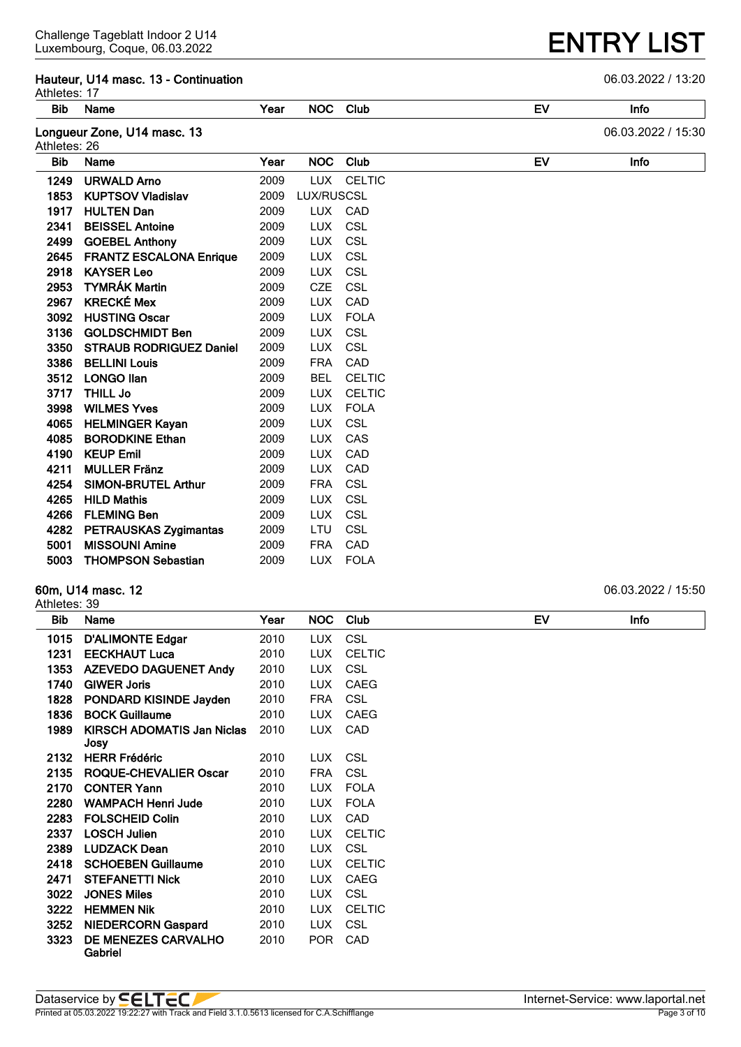#### **Hauteur, U14 masc. 13 - Continuation** 06.03.2022 / 13:20 Athletes: 17

| Bib          | Name                           | Year |            | NOC Club      | EV        | Info               |
|--------------|--------------------------------|------|------------|---------------|-----------|--------------------|
| Athletes: 26 | Longueur Zone, U14 masc. 13    |      |            |               |           | 06.03.2022 / 15:30 |
| <b>Bib</b>   | Name                           | Year |            | NOC Club      | <b>EV</b> | Info               |
| 1249         | <b>URWALD Arno</b>             | 2009 | <b>LUX</b> | <b>CELTIC</b> |           |                    |
| 1853         | <b>KUPTSOV Vladislav</b>       | 2009 | LUX/RUSCSL |               |           |                    |
| 1917         | <b>HULTEN Dan</b>              | 2009 |            | LUX CAD       |           |                    |
| 2341         | <b>BEISSEL Antoine</b>         | 2009 | <b>LUX</b> | CSL           |           |                    |
| 2499         | <b>GOEBEL Anthony</b>          | 2009 | <b>LUX</b> | CSL           |           |                    |
| 2645         | <b>FRANTZ ESCALONA Enrique</b> | 2009 | <b>LUX</b> | CSL           |           |                    |
| 2918         | <b>KAYSER Leo</b>              | 2009 | <b>LUX</b> | CSL           |           |                    |
| 2953         | <b>TYMRÁK Martin</b>           | 2009 | <b>CZE</b> | CSL           |           |                    |
| 2967         | <b>KRECKÉ Mex</b>              | 2009 | <b>LUX</b> | CAD           |           |                    |
| 3092         | <b>HUSTING Oscar</b>           | 2009 | <b>LUX</b> | <b>FOLA</b>   |           |                    |
| 3136         | <b>GOLDSCHMIDT Ben</b>         | 2009 | <b>LUX</b> | CSL           |           |                    |
| 3350         | <b>STRAUB RODRIGUEZ Daniel</b> | 2009 | <b>LUX</b> | CSL           |           |                    |
| 3386         | <b>BELLINI Louis</b>           | 2009 | <b>FRA</b> | CAD           |           |                    |
| 3512         | <b>LONGO Ilan</b>              | 2009 | <b>BEL</b> | <b>CELTIC</b> |           |                    |
| 3717         | <b>THILL Jo</b>                | 2009 | <b>LUX</b> | <b>CELTIC</b> |           |                    |
| 3998         | <b>WILMES Yves</b>             | 2009 | LUX        | <b>FOLA</b>   |           |                    |
| 4065         | <b>HELMINGER Kayan</b>         | 2009 | <b>LUX</b> | CSL           |           |                    |
| 4085         | <b>BORODKINE Ethan</b>         | 2009 | <b>LUX</b> | CAS           |           |                    |
| 4190         | <b>KEUP Emil</b>               | 2009 | <b>LUX</b> | CAD           |           |                    |
| 4211         | <b>MULLER Fränz</b>            | 2009 | <b>LUX</b> | CAD           |           |                    |
| 4254         | <b>SIMON-BRUTEL Arthur</b>     | 2009 | <b>FRA</b> | <b>CSL</b>    |           |                    |
| 4265         | <b>HILD Mathis</b>             | 2009 | <b>LUX</b> | <b>CSL</b>    |           |                    |
| 4266         | <b>FLEMING Ben</b>             | 2009 | <b>LUX</b> | <b>CSL</b>    |           |                    |
| 4282         | <b>PETRAUSKAS Zygimantas</b>   | 2009 | <b>LTU</b> | CSL           |           |                    |
| 5001         | <b>MISSOUNI Amine</b>          | 2009 | <b>FRA</b> | CAD           |           |                    |
| 5003         | <b>THOMPSON Sebastian</b>      | 2009 | LUX.       | <b>FOLA</b>   |           |                    |

#### **60m, U14 masc. 12** 06.03.2022 / 15:50

| Athletes: |  |
|-----------|--|
|           |  |

| Bib  | Name                              | Year | NOC.       | Club          | EV | <b>Info</b> |
|------|-----------------------------------|------|------------|---------------|----|-------------|
| 1015 | <b>D'ALIMONTE Edgar</b>           | 2010 | LUX.       | <b>CSL</b>    |    |             |
| 1231 | <b>EECKHAUT Luca</b>              | 2010 | <b>LUX</b> | <b>CELTIC</b> |    |             |
| 1353 | <b>AZEVEDO DAGUENET Andy</b>      | 2010 | <b>LUX</b> | <b>CSL</b>    |    |             |
| 1740 | <b>GIWER Joris</b>                | 2010 | <b>LUX</b> | <b>CAEG</b>   |    |             |
| 1828 | <b>PONDARD KISINDE Jayden</b>     | 2010 | <b>FRA</b> | CSL           |    |             |
| 1836 | <b>BOCK Guillaume</b>             | 2010 | <b>LUX</b> | CAEG          |    |             |
| 1989 | <b>KIRSCH ADOMATIS Jan Niclas</b> | 2010 | <b>LUX</b> | CAD           |    |             |
|      | Josy                              |      |            |               |    |             |
| 2132 | <b>HERR Frédéric</b>              | 2010 | <b>LUX</b> | <b>CSL</b>    |    |             |
| 2135 | ROQUE-CHEVALIER Oscar             | 2010 | <b>FRA</b> | CSL           |    |             |
| 2170 | <b>CONTER Yann</b>                | 2010 | <b>LUX</b> | <b>FOLA</b>   |    |             |
| 2280 | <b>WAMPACH Henri Jude</b>         | 2010 | LUX.       | <b>FOLA</b>   |    |             |
| 2283 | <b>FOLSCHEID Colin</b>            | 2010 | <b>LUX</b> | CAD           |    |             |
| 2337 | <b>LOSCH Julien</b>               | 2010 | <b>LUX</b> | <b>CELTIC</b> |    |             |
| 2389 | <b>LUDZACK Dean</b>               | 2010 | LUX.       | <b>CSL</b>    |    |             |
| 2418 | <b>SCHOEBEN Guillaume</b>         | 2010 | <b>LUX</b> | <b>CELTIC</b> |    |             |
| 2471 | <b>STEFANETTI Nick</b>            | 2010 | <b>LUX</b> | <b>CAEG</b>   |    |             |
| 3022 | <b>JONES Miles</b>                | 2010 | LUX.       | CSL           |    |             |
| 3222 | <b>HEMMEN Nik</b>                 | 2010 | <b>LUX</b> | <b>CELTIC</b> |    |             |
| 3252 | <b>NIEDERCORN Gaspard</b>         | 2010 | LUX.       | <b>CSL</b>    |    |             |
| 3323 | DE MENEZES CARVALHO<br>Gabriel    | 2010 | <b>POR</b> | CAD           |    |             |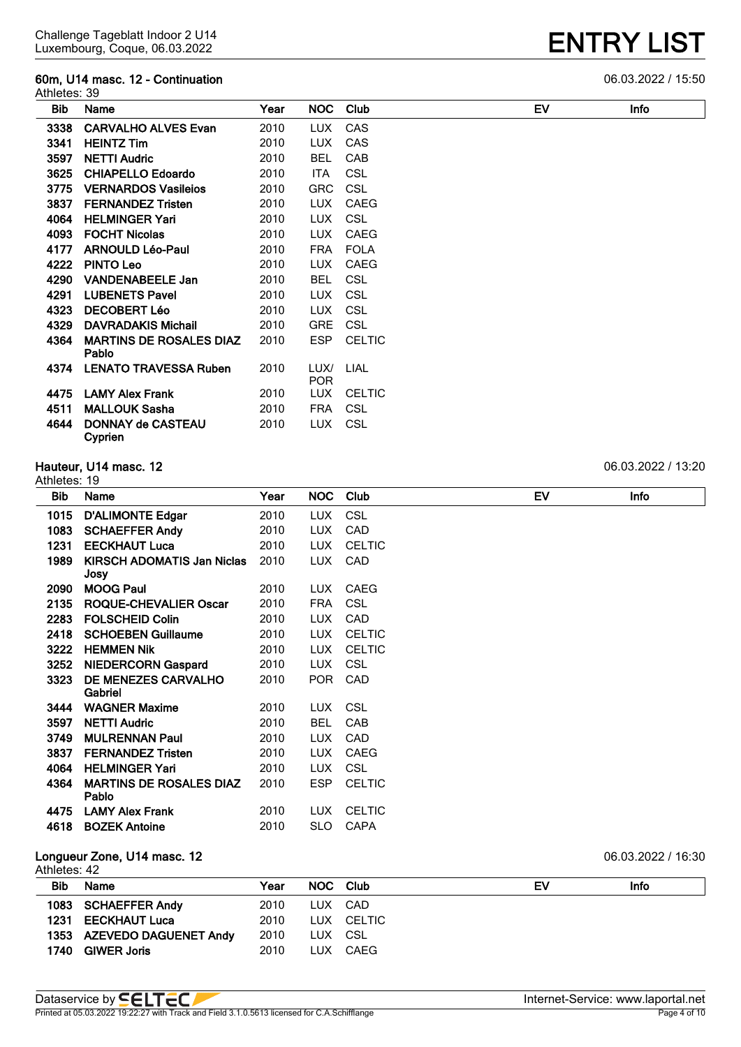## **60m, U14 masc. 12 - Continuation** 06.03.2022 / 15:50

| <b>ENTRY LIST</b> |
|-------------------|
|-------------------|

| Athletes: 39 |                                         |      |                    |               |    |             |
|--------------|-----------------------------------------|------|--------------------|---------------|----|-------------|
| <b>Bib</b>   | Name                                    | Year | NOC .              | Club          | EV | <b>Info</b> |
| 3338         | <b>CARVALHO ALVES Evan</b>              | 2010 | <b>LUX</b>         | CAS           |    |             |
| 3341         | <b>HEINTZ Tim</b>                       | 2010 | LUX.               | CAS           |    |             |
| 3597         | <b>NETTI Audric</b>                     | 2010 | <b>BEL</b>         | CAB           |    |             |
| 3625         | <b>CHIAPELLO Edoardo</b>                | 2010 | <b>ITA</b>         | <b>CSL</b>    |    |             |
| 3775         | <b>VERNARDOS Vasileios</b>              | 2010 | <b>GRC</b>         | <b>CSL</b>    |    |             |
| 3837         | <b>FERNANDEZ Tristen</b>                | 2010 | <b>LUX</b>         | CAEG          |    |             |
| 4064         | <b>HELMINGER Yari</b>                   | 2010 | LUX.               | <b>CSL</b>    |    |             |
| 4093         | <b>FOCHT Nicolas</b>                    | 2010 | <b>LUX</b>         | CAEG          |    |             |
| 4177         | <b>ARNOULD Léo-Paul</b>                 | 2010 | <b>FRA</b>         | <b>FOLA</b>   |    |             |
| 4222         | <b>PINTO Leo</b>                        | 2010 | <b>LUX</b>         | CAEG          |    |             |
| 4290         | <b>VANDENABEELE Jan</b>                 | 2010 | <b>BEL</b>         | CSL           |    |             |
| 4291         | <b>LUBENETS Pavel</b>                   | 2010 | <b>LUX</b>         | <b>CSL</b>    |    |             |
| 4323         | <b>DECOBERT Léo</b>                     | 2010 | LUX.               | <b>CSL</b>    |    |             |
| 4329         | <b>DAVRADAKIS Michail</b>               | 2010 | <b>GRE</b>         | <b>CSL</b>    |    |             |
| 4364         | <b>MARTINS DE ROSALES DIAZ</b><br>Pablo | 2010 | <b>ESP</b>         | <b>CELTIC</b> |    |             |
| 4374         | <b>LENATO TRAVESSA Ruben</b>            | 2010 | LUX/<br><b>POR</b> | <b>LIAL</b>   |    |             |
| 4475         | <b>LAMY Alex Frank</b>                  | 2010 | <b>LUX</b>         | <b>CELTIC</b> |    |             |
| 4511         | <b>MALLOUK Sasha</b>                    | 2010 | <b>FRA</b>         | CSL           |    |             |
| 4644         | <b>DONNAY de CASTEAU</b><br>Cyprien     | 2010 | <b>LUX</b>         | <b>CSL</b>    |    |             |

#### **Hauteur, U14 masc. 12** 06.03.2022 / 13:20

#### Athletes: 19 **Bib Name Year NOC Club EV Info D'ALIMONTE Edgar** 2010 LUX CSL **SCHAEFFER Andy** 2010 LUX CAD **EECKHAUT Luca** 2010 LUX CELTIC **KIRSCH ADOMATIS Jan Niclas Josy** LUX CAD **MOOG Paul** 2010 LUX CAEG **ROQUE-CHEVALIER Oscar** 2010 FRA CSL **FOLSCHEID Colin** 2010 LUX CAD **SCHOEBEN Guillaume** 2010 LUX CELTIC **3222 HEMMEN Nik** 2010 LUX CELTIC **NIEDERCORN Gaspard** 2010 LUX CSL **DE MENEZES CARVALHO Gabriel** POR CAD **WAGNER Maxime** 2010 LUX CSL **NETTI Audric** 2010 BEL CAB **MULRENNAN Paul** 2010 LUX CAD **FERNANDEZ Tristen** 2010 LUX CAEG **HELMINGER Yari** 2010 LUX CSL **MARTINS DE ROSALES DIAZ Pablo** ESP CELTIC **LAMY Alex Frank** 2010 LUX CELTIC **BOZEK Antoine** 2010 SLO CAPA **Longueur Zone, U14 masc. 12** 06.03.2022 / 16:30 Athletes: 42

| <b>Bib</b> | <b>Name</b>                | Year | NOC Club |            | EV | <b>Info</b> |
|------------|----------------------------|------|----------|------------|----|-------------|
|            | 1083 SCHAEFFER Andy        | 2010 | LUX CAD  |            |    |             |
|            | 1231 EECKHAUT Luca         | 2010 |          | LUX CELTIC |    |             |
|            | 1353 AZEVEDO DAGUENET Andy | 2010 | LUX CSL  |            |    |             |
| 1740       | <b>GIWER Joris</b>         | 2010 | LUX.     | CAEG       |    |             |

Printed at  $05.03.2022$  19:22:27 with Track and Field 3.1.0.5613 licensed for C.A.Schifflange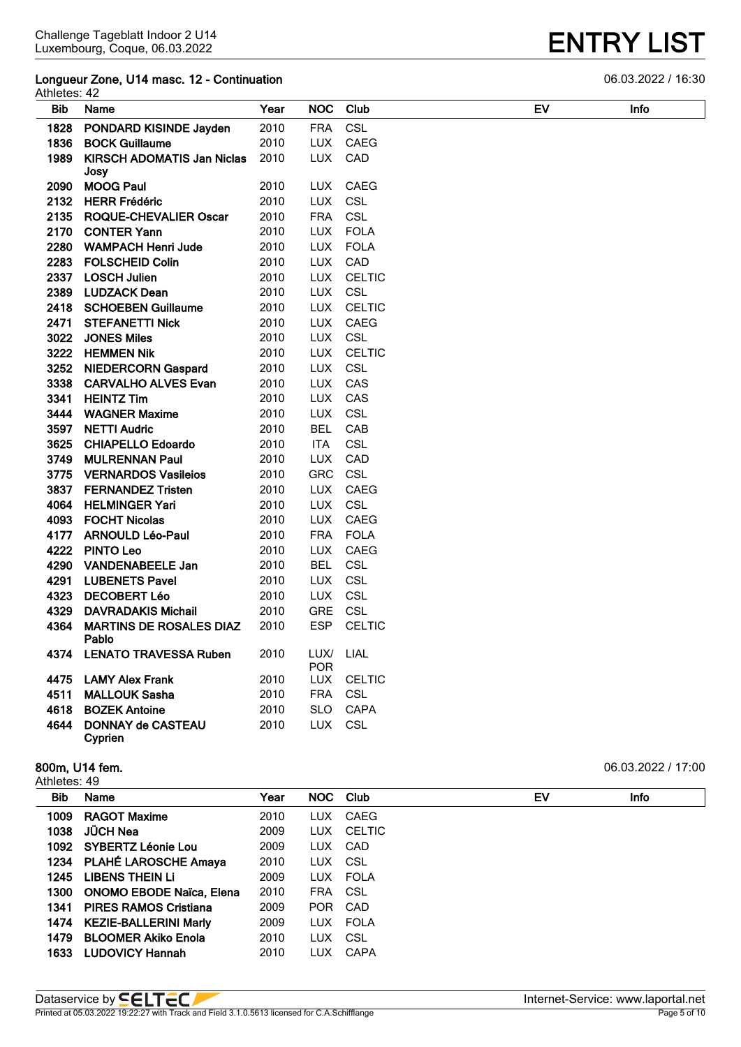### **Longueur Zone, U14 masc. 12 - Continuation** 06.03.2022 / 16:30 Athletes: 42

| Bib  | Name                                    | Year | <b>NOC</b>         | Club          | EV | <b>Infc</b> |
|------|-----------------------------------------|------|--------------------|---------------|----|-------------|
| 1828 | PONDARD KISINDE Jayden                  | 2010 | <b>FRA</b>         | CSL           |    |             |
| 1836 | <b>BOCK Guillaume</b>                   | 2010 | <b>LUX</b>         | <b>CAEG</b>   |    |             |
|      | 1989 KIRSCH ADOMATIS Jan Niclas         | 2010 | <b>LUX</b>         | CAD           |    |             |
|      | Josy                                    |      |                    |               |    |             |
| 2090 | <b>MOOG Paul</b>                        | 2010 | LUX.               | <b>CAEG</b>   |    |             |
|      | 2132 HERR Frédéric                      | 2010 | <b>LUX</b>         | <b>CSL</b>    |    |             |
|      | 2135 ROQUE-CHEVALIER Oscar              | 2010 | <b>FRA</b>         | <b>CSL</b>    |    |             |
|      | 2170 CONTER Yann                        | 2010 | <b>LUX</b>         | <b>FOLA</b>   |    |             |
|      | 2280 WAMPACH Henri Jude                 | 2010 | <b>LUX</b>         | <b>FOLA</b>   |    |             |
|      | 2283 FOLSCHEID Colin                    | 2010 | <b>LUX</b>         | CAD           |    |             |
|      | 2337 LOSCH Julien                       | 2010 | <b>LUX</b>         | <b>CELTIC</b> |    |             |
|      | 2389 LUDZACK Dean                       | 2010 | <b>LUX</b>         | CSL           |    |             |
|      | 2418 SCHOEBEN Guillaume                 | 2010 | <b>LUX</b>         | <b>CELTIC</b> |    |             |
|      | 2471 STEFANETTI Nick                    | 2010 | <b>LUX</b>         | CAEG          |    |             |
|      | 3022 JONES Miles                        | 2010 | LUX.               | CSL           |    |             |
|      | 3222 HEMMEN Nik                         | 2010 | <b>LUX</b>         | <b>CELTIC</b> |    |             |
|      | 3252 NIEDERCORN Gaspard                 | 2010 | <b>LUX</b>         | CSL           |    |             |
|      | 3338 CARVALHO ALVES Evan                | 2010 | <b>LUX</b>         | CAS           |    |             |
|      | 3341 HEINTZ Tim                         | 2010 | <b>LUX</b>         | CAS           |    |             |
|      | 3444 WAGNER Maxime                      | 2010 | <b>LUX</b>         | CSL           |    |             |
|      | 3597 NETTI Audric                       | 2010 | <b>BEL</b>         | CAB           |    |             |
|      | 3625 CHIAPELLO Edoardo                  | 2010 | <b>ITA</b>         | CSL           |    |             |
|      | 3749 MULRENNAN Paul                     | 2010 | LUX.               | CAD           |    |             |
|      | 3775 VERNARDOS Vasileios                | 2010 | GRC                | <b>CSL</b>    |    |             |
|      | 3837 FERNANDEZ Tristen                  | 2010 | <b>LUX</b>         | <b>CAEG</b>   |    |             |
|      | 4064 HELMINGER Yari                     | 2010 | <b>LUX</b>         | CSL           |    |             |
|      | 4093 FOCHT Nicolas                      | 2010 | <b>LUX</b>         | <b>CAEG</b>   |    |             |
|      | 4177 ARNOULD Léo-Paul                   | 2010 | <b>FRA</b>         | <b>FOLA</b>   |    |             |
|      | 4222 PINTO Leo                          | 2010 | <b>LUX</b>         | CAEG          |    |             |
|      | 4290 VANDENABEELE Jan                   | 2010 | <b>BEL</b>         | CSL           |    |             |
| 4291 | <b>LUBENETS Pavel</b>                   | 2010 | LUX.               | CSL           |    |             |
|      | 4323 DECOBERT Léo                       | 2010 | <b>LUX</b>         | CSL           |    |             |
| 4329 | <b>DAVRADAKIS Michail</b>               | 2010 | <b>GRE</b>         | CSL           |    |             |
| 4364 | <b>MARTINS DE ROSALES DIAZ</b><br>Pablo | 2010 | <b>ESP</b>         | <b>CELTIC</b> |    |             |
|      | 4374 LENATO TRAVESSA Ruben              | 2010 | LUX/<br><b>POR</b> | LIAL          |    |             |
|      | 4475 LAMY Alex Frank                    | 2010 | LUX.               | <b>CELTIC</b> |    |             |
| 4511 | <b>MALLOUK Sasha</b>                    | 2010 | <b>FRA</b>         | <b>CSL</b>    |    |             |
|      | 4618 BOZEK Antoine                      | 2010 | <b>SLO</b>         | <b>CAPA</b>   |    |             |
| 4644 | <b>DONNAY de CASTEAU</b>                | 2010 | <b>LUX</b>         | CSL           |    |             |
|      | Cyprien                                 |      |                    |               |    |             |

#### **800m, U14 fem.** 06.03.2022 / 17:00 Athletes: 49

| Bib  | Name                         | Year | NOC Club   |             | EV | <b>Info</b> |
|------|------------------------------|------|------------|-------------|----|-------------|
| 1009 | <b>RAGOT Maxime</b>          | 2010 | LUX.       | CAEG        |    |             |
| 1038 | JÜCH Nea                     | 2009 | LUX.       | CELTIC      |    |             |
| 1092 | SYBERTZ Léonie Lou           | 2009 | LUX.       | CAD         |    |             |
|      | 1234 PLAHÉ LAROSCHE Amaya    | 2010 | LUX CSL    |             |    |             |
| 1245 | LIBENS THEIN LI              | 2009 |            | LUX FOLA    |    |             |
| 1300 | ONOMO EBODE Naïca, Elena     | 2010 | <b>FRA</b> | CSL C       |    |             |
| 1341 | <b>PIRES RAMOS Cristiana</b> | 2009 | <b>POR</b> | CAD         |    |             |
|      | 1474 KEZIE-BALLERINI Marly   | 2009 |            | LUX FOLA    |    |             |
| 1479 | <b>BLOOMER Akiko Enola</b>   | 2010 | <b>LUX</b> | CSL         |    |             |
| 1633 | <b>LUDOVICY Hannah</b>       | 2010 | <b>LUX</b> | <b>CAPA</b> |    |             |
|      |                              |      |            |             |    |             |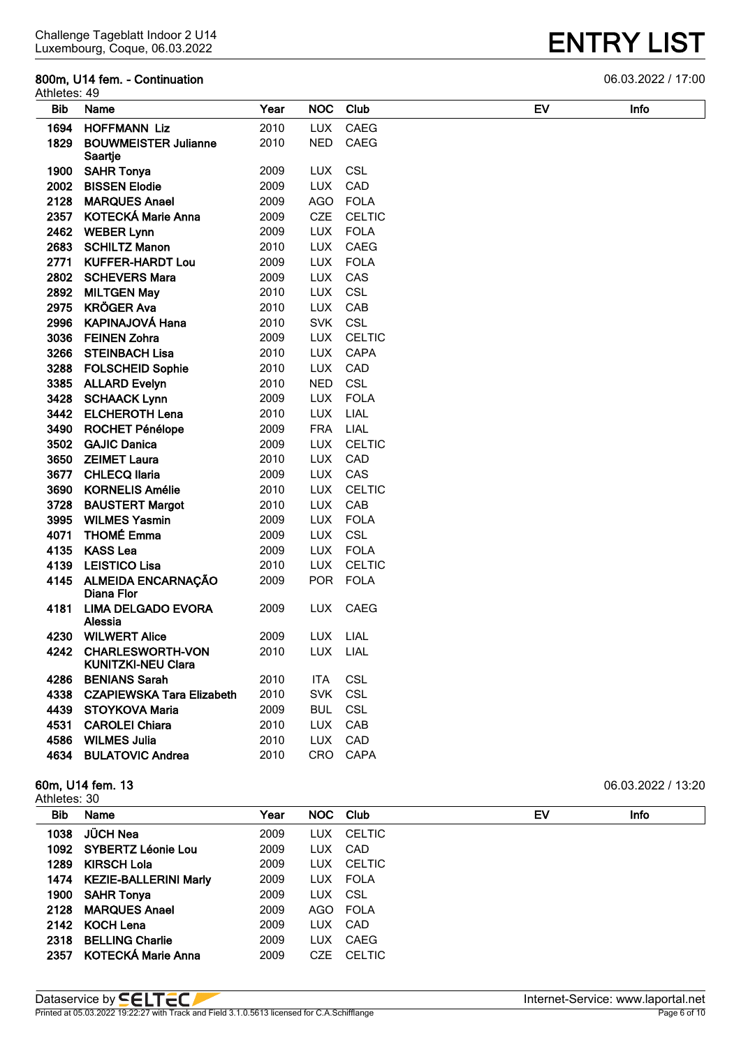#### **800m, U14 fem. - Continuation** 06.03.2022 / 17:00

| <b>ENTRY LIST</b> |
|-------------------|
|-------------------|

| Athletes: 49 |                                                    |      |            |               |    |      |
|--------------|----------------------------------------------------|------|------------|---------------|----|------|
| <b>Bib</b>   | Name                                               | Year | <b>NOC</b> | Club          | EV | Info |
| 1694         | <b>HOFFMANN Liz</b>                                | 2010 | <b>LUX</b> | <b>CAEG</b>   |    |      |
| 1829         | <b>BOUWMEISTER Julianne</b><br>Saartje             | 2010 | NED        | CAEG          |    |      |
| 1900         | <b>SAHR Tonya</b>                                  | 2009 | <b>LUX</b> | CSL           |    |      |
| 2002         | <b>BISSEN Elodie</b>                               | 2009 | <b>LUX</b> | CAD           |    |      |
| 2128         | <b>MARQUES Anael</b>                               | 2009 | <b>AGO</b> | <b>FOLA</b>   |    |      |
| 2357         | <b>KOTECKÁ Marie Anna</b>                          | 2009 | <b>CZE</b> | <b>CELTIC</b> |    |      |
| 2462         | <b>WEBER Lynn</b>                                  | 2009 | <b>LUX</b> | <b>FOLA</b>   |    |      |
| 2683         | <b>SCHILTZ Manon</b>                               | 2010 | <b>LUX</b> | CAEG          |    |      |
| 2771         | <b>KUFFER-HARDT Lou</b>                            | 2009 | <b>LUX</b> | <b>FOLA</b>   |    |      |
| 2802         | <b>SCHEVERS Mara</b>                               | 2009 | <b>LUX</b> | CAS           |    |      |
| 2892         | <b>MILTGEN May</b>                                 | 2010 | <b>LUX</b> | CSL           |    |      |
| 2975         | <b>KRÖGER Ava</b>                                  | 2010 | <b>LUX</b> | CAB           |    |      |
| 2996         | <b>KAPINAJOVÁ Hana</b>                             | 2010 | <b>SVK</b> | CSL           |    |      |
| 3036         | <b>FEINEN Zohra</b>                                | 2009 | <b>LUX</b> | <b>CELTIC</b> |    |      |
| 3266         | <b>STEINBACH Lisa</b>                              | 2010 | <b>LUX</b> | <b>CAPA</b>   |    |      |
| 3288         | <b>FOLSCHEID Sophie</b>                            | 2010 | <b>LUX</b> | CAD           |    |      |
| 3385         | <b>ALLARD Evelyn</b>                               | 2010 | <b>NED</b> | <b>CSL</b>    |    |      |
| 3428         | <b>SCHAACK Lynn</b>                                | 2009 | <b>LUX</b> | <b>FOLA</b>   |    |      |
| 3442         | <b>ELCHEROTH Lena</b>                              | 2010 | <b>LUX</b> | LIAL          |    |      |
| 3490         | <b>ROCHET Pénélope</b>                             | 2009 | <b>FRA</b> | LIAL          |    |      |
| 3502         | <b>GAJIC Danica</b>                                | 2009 | <b>LUX</b> | <b>CELTIC</b> |    |      |
| 3650         | <b>ZEIMET Laura</b>                                | 2010 | <b>LUX</b> | CAD           |    |      |
| 3677         | <b>CHLECQ llaria</b>                               | 2009 | <b>LUX</b> | CAS           |    |      |
| 3690         | <b>KORNELIS Amélie</b>                             | 2010 | <b>LUX</b> | <b>CELTIC</b> |    |      |
| 3728         | <b>BAUSTERT Margot</b>                             | 2010 | <b>LUX</b> | CAB           |    |      |
| 3995         | <b>WILMES Yasmin</b>                               | 2009 | <b>LUX</b> | <b>FOLA</b>   |    |      |
| 4071         | <b>THOMÉ Emma</b>                                  | 2009 | <b>LUX</b> | CSL           |    |      |
| 4135         | <b>KASS Lea</b>                                    | 2009 | <b>LUX</b> | <b>FOLA</b>   |    |      |
| 4139         | <b>LEISTICO Lisa</b>                               | 2010 | <b>LUX</b> | <b>CELTIC</b> |    |      |
| 4145         | <b>ALMEIDA ENCARNAÇÃO</b><br>Diana Flor            | 2009 | <b>POR</b> | <b>FOLA</b>   |    |      |
| 4181         | <b>LIMA DELGADO EVORA</b><br>Alessia               | 2009 | LUX        | <b>CAEG</b>   |    |      |
| 4230         | <b>WILWERT Alice</b>                               | 2009 | <b>LUX</b> | LIAL          |    |      |
|              | 4242 CHARLESWORTH-VON<br><b>KUNITZKI-NEU Clara</b> | 2010 | LUX LIAL   |               |    |      |
| 4286         | <b>BENIANS Sarah</b>                               | 2010 | ITA        | <b>CSL</b>    |    |      |
| 4338         | <b>CZAPIEWSKA Tara Elizabeth</b>                   | 2010 | <b>SVK</b> | CSL           |    |      |
| 4439         | <b>STOYKOVA Maria</b>                              | 2009 | <b>BUL</b> | <b>CSL</b>    |    |      |
| 4531         | <b>CAROLEI Chiara</b>                              | 2010 | <b>LUX</b> | CAB           |    |      |
| 4586         | <b>WILMES Julia</b>                                | 2010 | <b>LUX</b> | CAD           |    |      |
| 4634         | <b>BULATOVIC Andrea</b>                            | 2010 | CRO        | <b>CAPA</b>   |    |      |

#### **60m, U14 fem. 13** 06.03.2022 / 13:20

Athletes: 30

| טט .טט .ה  |                         |      |            |               |    |  |             |  |  |
|------------|-------------------------|------|------------|---------------|----|--|-------------|--|--|
| <b>Bib</b> | Name                    | Year |            | NOC Club      | EV |  | <b>Info</b> |  |  |
| 1038       | <b>JÜCH Nea</b>         | 2009 | LUX.       | CELTIC        |    |  |             |  |  |
| 1092       | SYBERTZ Léonie Lou      | 2009 | <b>LUX</b> | CAD           |    |  |             |  |  |
| 1289       | <b>KIRSCH Lola</b>      | 2009 | LUX.       | CELTIC        |    |  |             |  |  |
| 1474       | KEZIE-BALLERINI Marly   | 2009 |            | LUX FOLA      |    |  |             |  |  |
| 1900       | SAHR Tonya              | 2009 | LUX.       | - CSL         |    |  |             |  |  |
| 2128       | <b>MARQUES Anael</b>    | 2009 |            | AGO FOLA      |    |  |             |  |  |
| 2142       | KOCH Lena               | 2009 | <b>LUX</b> | CAD           |    |  |             |  |  |
| 2318       | <b>BELLING Charlie</b>  | 2009 | LUX.       | CAEG          |    |  |             |  |  |
|            | 2357 KOTECKÁ Marie Anna | 2009 | CZE        | <b>CELTIC</b> |    |  |             |  |  |
|            |                         |      |            |               |    |  |             |  |  |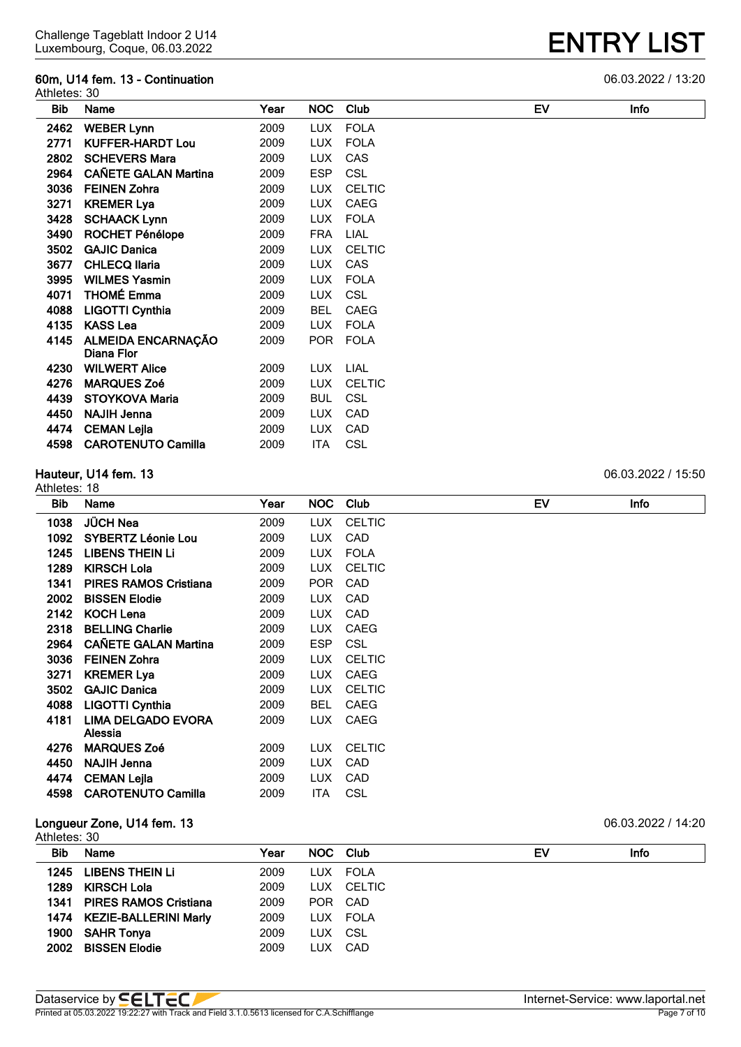#### **60m, U14 fem. 13 - Continuation** 06.03.2022 / 13:20

| Athletes: 30 |                                         |      |            |               |    |             |
|--------------|-----------------------------------------|------|------------|---------------|----|-------------|
| <b>Bib</b>   | Name                                    | Year | <b>NOC</b> | Club          | EV | <b>Info</b> |
| 2462         | <b>WEBER Lynn</b>                       | 2009 | <b>LUX</b> | <b>FOLA</b>   |    |             |
| 2771         | <b>KUFFER-HARDT Lou</b>                 | 2009 | <b>LUX</b> | <b>FOLA</b>   |    |             |
| 2802         | <b>SCHEVERS Mara</b>                    | 2009 | <b>LUX</b> | CAS           |    |             |
| 2964         | <b>CAÑETE GALAN Martina</b>             | 2009 | <b>ESP</b> | <b>CSL</b>    |    |             |
| 3036         | <b>FEINEN Zohra</b>                     | 2009 | <b>LUX</b> | <b>CELTIC</b> |    |             |
| 3271         | <b>KREMER Lya</b>                       | 2009 | LUX.       | CAEG          |    |             |
| 3428         | <b>SCHAACK Lynn</b>                     | 2009 | <b>LUX</b> | <b>FOLA</b>   |    |             |
| 3490         | <b>ROCHET Pénélope</b>                  | 2009 | <b>FRA</b> | <b>LIAL</b>   |    |             |
| 3502         | <b>GAJIC Danica</b>                     | 2009 | <b>LUX</b> | <b>CELTIC</b> |    |             |
| 3677         | <b>CHLECQ Ilaria</b>                    | 2009 | LUX.       | CAS           |    |             |
| 3995         | <b>WILMES Yasmin</b>                    | 2009 | <b>LUX</b> | <b>FOLA</b>   |    |             |
| 4071         | <b>THOMÉ Emma</b>                       | 2009 | <b>LUX</b> | <b>CSL</b>    |    |             |
| 4088         | <b>LIGOTTI Cynthia</b>                  | 2009 | <b>BEL</b> | CAEG          |    |             |
| 4135         | <b>KASS Lea</b>                         | 2009 | <b>LUX</b> | <b>FOLA</b>   |    |             |
| 4145         | <b>ALMEIDA ENCARNAÇÃO</b><br>Diana Flor | 2009 | POR        | <b>FOLA</b>   |    |             |
| 4230         | <b>WILWERT Alice</b>                    | 2009 | LUX.       | LIAL          |    |             |
| 4276         | <b>MARQUES Zoé</b>                      | 2009 | <b>LUX</b> | <b>CELTIC</b> |    |             |
| 4439         | <b>STOYKOVA Maria</b>                   | 2009 | BUL        | <b>CSL</b>    |    |             |
| 4450         | <b>NAJIH Jenna</b>                      | 2009 | <b>LUX</b> | CAD           |    |             |
| 4474         | <b>CEMAN Lejla</b>                      | 2009 | <b>LUX</b> | CAD           |    |             |
| 4598         | <b>CAROTENUTO Camilla</b>               | 2009 | ITA        | CSL           |    |             |
|              |                                         |      |            |               |    |             |

#### **Hauteur, U14 fem. 13** 06.03.2022 / 15:50

Athletes: 18 **Bib Name Year NOC Club EV Info JÜCH Nea** 2009 LUX CELTIC **SYBERTZ Léonie Lou** 2009 LUX CAD **LIBENS THEIN Li** 2009 LUX FOLA **KIRSCH Lola** 2009 LUX CELTIC **PIRES RAMOS Cristiana** 2009 POR CAD **BISSEN Elodie** 2009 LUX CAD **KOCH Lena** 2009 LUX CAD **BELLING Charlie** 2009 LUX CAEG **CAÑETE GALAN Martina** 2009 ESP CSL **FEINEN Zohra** 2009 LUX CELTIC **3271 KREMER Lya** 2009 LUX CAEG **GAJIC Danica** 2009 LUX CELTIC **LIGOTTI Cynthia** 2009 BEL CAEG **LIMA DELGADO EVORA Alessia** LUX CAEG **MARQUES Zoé** 2009 LUX CELTIC **NAJIH Jenna** 2009 LUX CAD **CEMAN Lejla** 2009 LUX CAD **CAROTENUTO Camilla** 2009 ITA CSL **Longueur Zone, U14 fem. 13** 06.03.2022 / 14:20

| Athletes: 30 |  |
|--------------|--|
|              |  |

| Bib. | Name                       | Year | NOC Club   |            | EV | Info |
|------|----------------------------|------|------------|------------|----|------|
| 1245 | <b>LIBENS THEIN LI</b>     | 2009 |            | LUX FOLA   |    |      |
|      | 1289 KIRSCH Lola           | 2009 |            | LUX CELTIC |    |      |
|      | 1341 PIRES RAMOS Cristiana | 2009 | <b>POR</b> | CAD        |    |      |
|      | 1474 KEZIE-BALLERINI Marly | 2009 |            | LUX FOLA   |    |      |
|      | 1900 SAHR Tonya            | 2009 | LUX CSL    |            |    |      |
|      | 2002 BISSEN Elodie         | 2009 | <b>LUX</b> | CAD        |    |      |
|      |                            |      |            |            |    |      |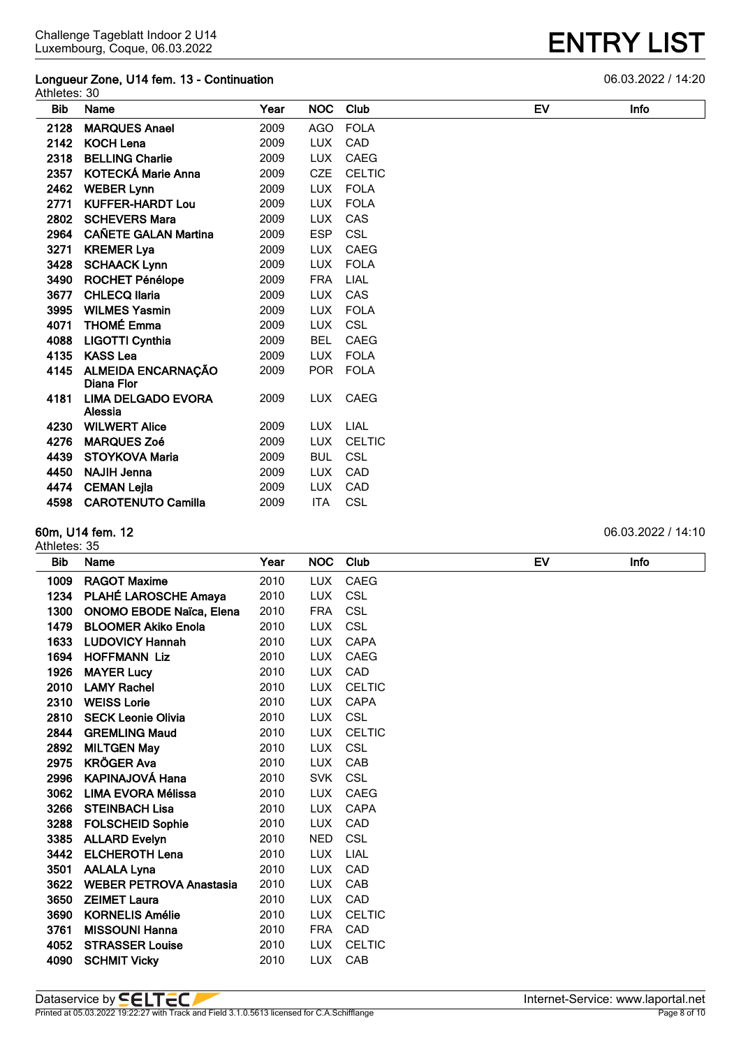#### **Longueur Zone, U14 fem. 13 - Continuation** 06.03.2022 / 14:20 Athletes: 30

| Bib  | Name                                    | Year | NOC.       | Club          | EV | <b>Infc</b> |
|------|-----------------------------------------|------|------------|---------------|----|-------------|
| 2128 | <b>MARQUES Anael</b>                    | 2009 | <b>AGO</b> | <b>FOLA</b>   |    |             |
| 2142 | <b>KOCH Lena</b>                        | 2009 | <b>LUX</b> | CAD           |    |             |
| 2318 | <b>BELLING Charlie</b>                  | 2009 | <b>LUX</b> | <b>CAEG</b>   |    |             |
| 2357 | <b>KOTECKÁ Marie Anna</b>               | 2009 | <b>CZE</b> | <b>CELTIC</b> |    |             |
| 2462 | <b>WEBER Lynn</b>                       | 2009 | <b>LUX</b> | <b>FOLA</b>   |    |             |
| 2771 | <b>KUFFER-HARDT Lou</b>                 | 2009 | <b>LUX</b> | <b>FOLA</b>   |    |             |
| 2802 | <b>SCHEVERS Mara</b>                    | 2009 | <b>LUX</b> | CAS           |    |             |
| 2964 | <b>CAÑETE GALAN Martina</b>             | 2009 | <b>ESP</b> | CSL           |    |             |
| 3271 | <b>KREMER Lya</b>                       | 2009 | <b>LUX</b> | CAEG          |    |             |
| 3428 | <b>SCHAACK Lynn</b>                     | 2009 | <b>LUX</b> | <b>FOLA</b>   |    |             |
| 3490 | <b>ROCHET Pénélope</b>                  | 2009 | <b>FRA</b> | LIAL          |    |             |
| 3677 | <b>CHLECQ Ilaria</b>                    | 2009 | <b>LUX</b> | CAS           |    |             |
| 3995 | <b>WILMES Yasmin</b>                    | 2009 | <b>LUX</b> | <b>FOLA</b>   |    |             |
| 4071 | <b>THOMÉ Emma</b>                       | 2009 | <b>LUX</b> | <b>CSL</b>    |    |             |
| 4088 | <b>LIGOTTI Cynthia</b>                  | 2009 | <b>BEL</b> | <b>CAEG</b>   |    |             |
| 4135 | <b>KASS Lea</b>                         | 2009 | <b>LUX</b> | <b>FOLA</b>   |    |             |
| 4145 | <b>ALMEIDA ENCARNAÇÃO</b><br>Diana Flor | 2009 | <b>POR</b> | FOLA          |    |             |
| 4181 | LIMA DELGADO EVORA<br>Alessia           | 2009 | LUX.       | CAEG          |    |             |
| 4230 | <b>WILWERT Alice</b>                    | 2009 | <b>LUX</b> | LIAL          |    |             |
| 4276 | <b>MARQUES Zoé</b>                      | 2009 | <b>LUX</b> | <b>CELTIC</b> |    |             |
| 4439 | <b>STOYKOVA Maria</b>                   | 2009 | <b>BUL</b> | <b>CSL</b>    |    |             |
| 4450 | <b>NAJIH Jenna</b>                      | 2009 | <b>LUX</b> | CAD           |    |             |

#### **60m, U14 fem. 12** 06.03.2022 / 14:10 Athletes: 35

| <b>Bib</b> | Name                            | Year | <b>NOC</b> | Club          | EV | Info |
|------------|---------------------------------|------|------------|---------------|----|------|
| 1009       | <b>RAGOT Maxime</b>             | 2010 | <b>LUX</b> | <b>CAEG</b>   |    |      |
| 1234       | PLAHÉ LAROSCHE Amaya            | 2010 | <b>LUX</b> | CSL           |    |      |
| 1300       | <b>ONOMO EBODE Naïca, Elena</b> | 2010 | <b>FRA</b> | CSL           |    |      |
| 1479       | <b>BLOOMER Akiko Enola</b>      | 2010 | <b>LUX</b> | CSL           |    |      |
| 1633       | <b>LUDOVICY Hannah</b>          | 2010 | <b>LUX</b> | <b>CAPA</b>   |    |      |
| 1694       | <b>HOFFMANN Liz</b>             | 2010 | <b>LUX</b> | <b>CAEG</b>   |    |      |
| 1926       | <b>MAYER Lucy</b>               | 2010 | <b>LUX</b> | CAD           |    |      |
| 2010       | <b>LAMY Rachel</b>              | 2010 | <b>LUX</b> | <b>CELTIC</b> |    |      |
| 2310       | <b>WEISS Lorie</b>              | 2010 | <b>LUX</b> | <b>CAPA</b>   |    |      |
| 2810       | <b>SECK Leonie Olivia</b>       | 2010 | <b>LUX</b> | CSL           |    |      |
| 2844       | <b>GREMLING Maud</b>            | 2010 | <b>LUX</b> | <b>CELTIC</b> |    |      |
| 2892       | <b>MILTGEN May</b>              | 2010 | <b>LUX</b> | CSL           |    |      |
| 2975       | <b>KRÖGER Ava</b>               | 2010 | <b>LUX</b> | CAB           |    |      |
| 2996       | <b>KAPINAJOVÁ Hana</b>          | 2010 | <b>SVK</b> | <b>CSL</b>    |    |      |
| 3062       | LIMA EVORA Mélissa              | 2010 | <b>LUX</b> | CAEG          |    |      |
| 3266       | <b>STEINBACH Lisa</b>           | 2010 | <b>LUX</b> | <b>CAPA</b>   |    |      |
| 3288       | <b>FOLSCHEID Sophie</b>         | 2010 | <b>LUX</b> | CAD           |    |      |
| 3385       | <b>ALLARD Evelyn</b>            | 2010 | <b>NED</b> | <b>CSL</b>    |    |      |
| 3442       | <b>ELCHEROTH Lena</b>           | 2010 | <b>LUX</b> | LIAL          |    |      |
| 3501       | <b>AALALA Lyna</b>              | 2010 | <b>LUX</b> | CAD           |    |      |
| 3622       | <b>WEBER PETROVA Anastasia</b>  | 2010 | <b>LUX</b> | CAB           |    |      |
| 3650       | <b>ZEIMET Laura</b>             | 2010 | <b>LUX</b> | CAD           |    |      |
| 3690       | <b>KORNELIS Amélie</b>          | 2010 | <b>LUX</b> | <b>CELTIC</b> |    |      |
| 3761       | <b>MISSOUNI Hanna</b>           | 2010 | <b>FRA</b> | CAD           |    |      |
| 4052       | <b>STRASSER Louise</b>          | 2010 | <b>LUX</b> | <b>CELTIC</b> |    |      |
| 4090       | <b>SCHMIT Vicky</b>             | 2010 | LUX.       | CAB           |    |      |

 **CEMAN Lejla** 2009 LUX CAD **CAROTENUTO Camilla** 2009 ITA CSL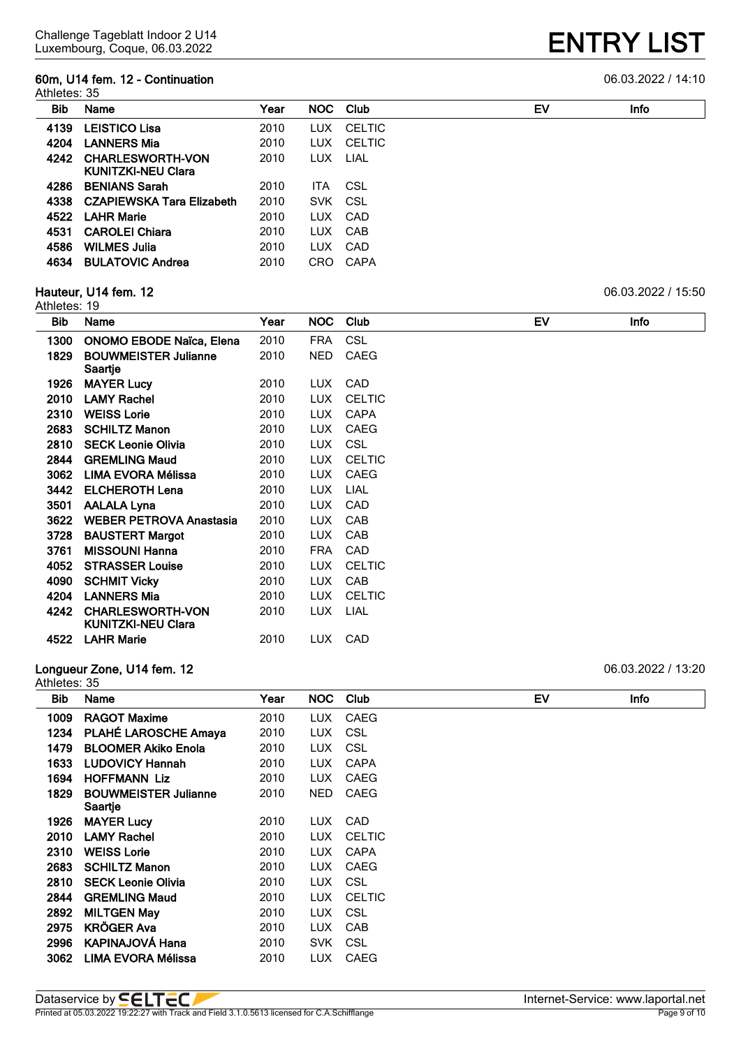#### **60m, U14 fem. 12 - Continuation** 06.03.2022 / 14:10

|  | <u>US US JUGO LAN</u> |  |  |
|--|-----------------------|--|--|

| <b>Bib</b> | Name                                                 | Year |            | NOC Club      | EV | Info |
|------------|------------------------------------------------------|------|------------|---------------|----|------|
| 4139       | <b>LEISTICO Lisa</b>                                 | 2010 | LUX        | <b>CELTIC</b> |    |      |
| 4204       | <b>LANNERS Mia</b>                                   | 2010 |            | LUX CELTIC    |    |      |
| 4242       | <b>CHARLESWORTH-VON</b><br><b>KUNITZKI-NEU Clara</b> | 2010 | LUX LIAL   |               |    |      |
| 4286       | <b>BENIANS Sarah</b>                                 | 2010 | <b>ITA</b> | CSL           |    |      |
| 4338       | <b>CZAPIEWSKA Tara Elizabeth</b>                     | 2010 | SVK CSL    |               |    |      |
| 4522       | <b>LAHR Marie</b>                                    | 2010 | LUX        | CAD           |    |      |
| 4531       | <b>CAROLEI Chiara</b>                                | 2010 | LUX.       | CAB           |    |      |
| 4586       | <b>WILMES Julia</b>                                  | 2010 | LUX.       | CAD           |    |      |
| 4634       | <b>BULATOVIC Andrea</b>                              | 2010 | <b>CRO</b> | CAPA          |    |      |

#### **Hauteur, U14 fem. 12** 06.03.2022 / 15:50

|      | Athletes: 19                                         |      |            |               |  |           |             |  |  |  |
|------|------------------------------------------------------|------|------------|---------------|--|-----------|-------------|--|--|--|
| Bib  | Name                                                 | Year | NOC.       | Club          |  | <b>EV</b> | <b>Info</b> |  |  |  |
| 1300 | <b>ONOMO EBODE Naïca, Elena</b>                      | 2010 | FRA        | CSL           |  |           |             |  |  |  |
| 1829 | <b>BOUWMEISTER Julianne</b><br>Saartje               | 2010 | NED.       | <b>CAEG</b>   |  |           |             |  |  |  |
| 1926 | <b>MAYER Lucy</b>                                    | 2010 | LUX        | CAD           |  |           |             |  |  |  |
| 2010 | <b>LAMY Rachel</b>                                   | 2010 | LUX        | <b>CELTIC</b> |  |           |             |  |  |  |
| 2310 | <b>WEISS Lorie</b>                                   | 2010 | LUX.       | <b>CAPA</b>   |  |           |             |  |  |  |
| 2683 | <b>SCHILTZ Manon</b>                                 | 2010 | LUX        | CAEG          |  |           |             |  |  |  |
| 2810 | <b>SECK Leonie Olivia</b>                            | 2010 | <b>LUX</b> | CSL           |  |           |             |  |  |  |
| 2844 | <b>GREMLING Maud</b>                                 | 2010 | <b>LUX</b> | <b>CELTIC</b> |  |           |             |  |  |  |
| 3062 | LIMA EVORA Mélissa                                   | 2010 | LUX        | CAEG          |  |           |             |  |  |  |
| 3442 | <b>ELCHEROTH Lena</b>                                | 2010 | LUX.       | LIAL          |  |           |             |  |  |  |
| 3501 | <b>AALALA Lyna</b>                                   | 2010 | <b>LUX</b> | CAD           |  |           |             |  |  |  |
| 3622 | <b>WEBER PETROVA Anastasia</b>                       | 2010 | LUX.       | <b>CAB</b>    |  |           |             |  |  |  |
| 3728 | <b>BAUSTERT Margot</b>                               | 2010 | LUX.       | CAB           |  |           |             |  |  |  |
| 3761 | <b>MISSOUNI Hanna</b>                                | 2010 | FRA        | CAD           |  |           |             |  |  |  |
| 4052 | <b>STRASSER Louise</b>                               | 2010 | LUX.       | <b>CELTIC</b> |  |           |             |  |  |  |
| 4090 | <b>SCHMIT Vicky</b>                                  | 2010 | LUX.       | <b>CAB</b>    |  |           |             |  |  |  |
| 4204 | <b>LANNERS Mia</b>                                   | 2010 | <b>LUX</b> | <b>CELTIC</b> |  |           |             |  |  |  |
| 4242 | <b>CHARLESWORTH-VON</b><br><b>KUNITZKI-NEU Clara</b> | 2010 | LUX.       | LIAL          |  |           |             |  |  |  |
| 4522 | <b>LAHR Marie</b>                                    | 2010 | LUX        | CAD           |  |           |             |  |  |  |

#### **Longueur Zone, U14 fem. 12** 06.03.2022 / 13:20 Athletes: 35

**Bib Name Year NOC Club EV Info RAGOT Maxime** 2010 LUX CAEG **PLAHÉ LAROSCHE Amaya** 2010 LUX CSL **BLOOMER Akiko Enola** 2010 LUX CSL **LUDOVICY Hannah** 2010 LUX CAPA **1694 HOFFMANN Liz** 2010 LUX CAEG **BOUWMEISTER Julianne Saartje** NED CAEG **1926 MAYER Lucy** 2010 LUX CAD **LAMY Rachel** 2010 LUX CELTIC **2310 WEISS Lorie** 2010 LUX CAPA **2683 SCHILTZ Manon** 2010 LUX CAEG **2810 SECK Leonie Olivia** 2010 LUX CSL **GREMLING Maud** 2010 LUX CELTIC **MILTGEN May** 2010 LUX CSL **KRÖGER Ava** 2010 LUX CAB **KAPINAJOVÁ Hana** 2010 SVK CSL **LIMA EVORA Mélissa** 2010 LUX CAEG